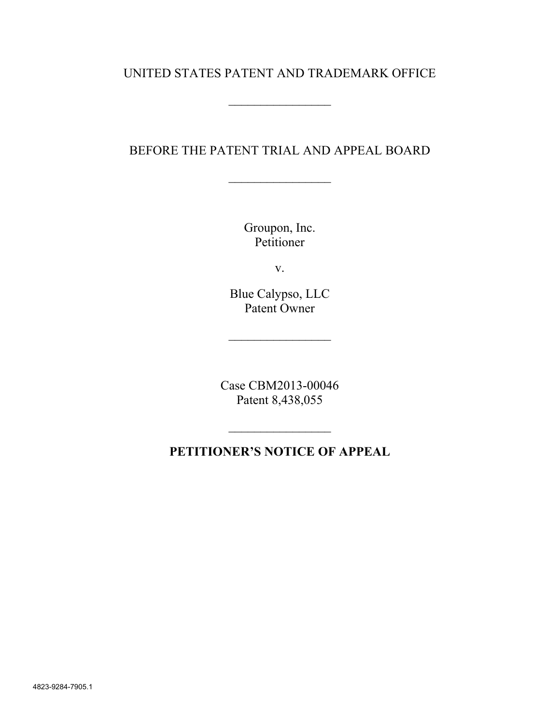## UNITED STATES PATENT AND TRADEMARK OFFICE

#### BEFORE THE PATENT TRIAL AND APPEAL BOARD

 $\frac{1}{2}$ 

Groupon, Inc. Petitioner

v.

Blue Calypso, LLC Patent Owner

 $\mathcal{L}_\text{max}$ 

Case CBM2013-00046 Patent 8,438,055

# **PETITIONER'S NOTICE OF APPEAL**

 $\frac{1}{2}$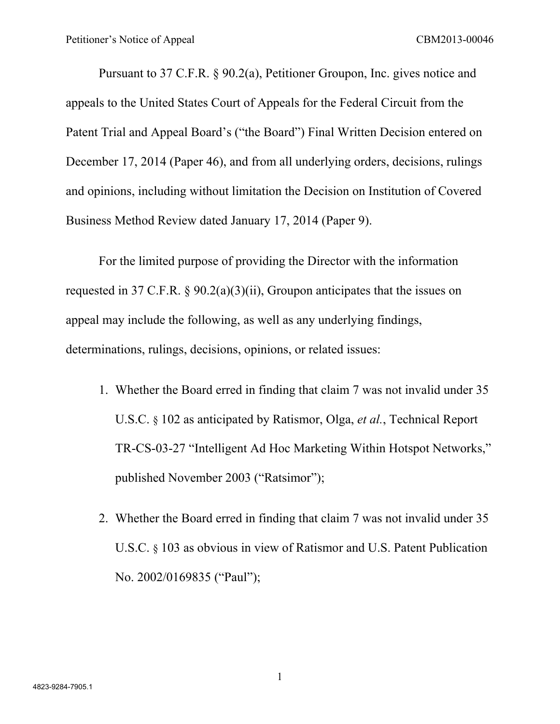Pursuant to 37 C.F.R. § 90.2(a), Petitioner Groupon, Inc. gives notice and appeals to the United States Court of Appeals for the Federal Circuit from the Patent Trial and Appeal Board's ("the Board") Final Written Decision entered on December 17, 2014 (Paper 46), and from all underlying orders, decisions, rulings and opinions, including without limitation the Decision on Institution of Covered Business Method Review dated January 17, 2014 (Paper 9).

For the limited purpose of providing the Director with the information requested in 37 C.F.R. § 90.2(a)(3)(ii), Groupon anticipates that the issues on appeal may include the following, as well as any underlying findings, determinations, rulings, decisions, opinions, or related issues:

- 1. Whether the Board erred in finding that claim 7 was not invalid under 35 U.S.C. § 102 as anticipated by Ratismor, Olga, *et al.*, Technical Report TR-CS-03-27 "Intelligent Ad Hoc Marketing Within Hotspot Networks," published November 2003 ("Ratsimor");
- 2. Whether the Board erred in finding that claim 7 was not invalid under 35 U.S.C. § 103 as obvious in view of Ratismor and U.S. Patent Publication No. 2002/0169835 ("Paul");

1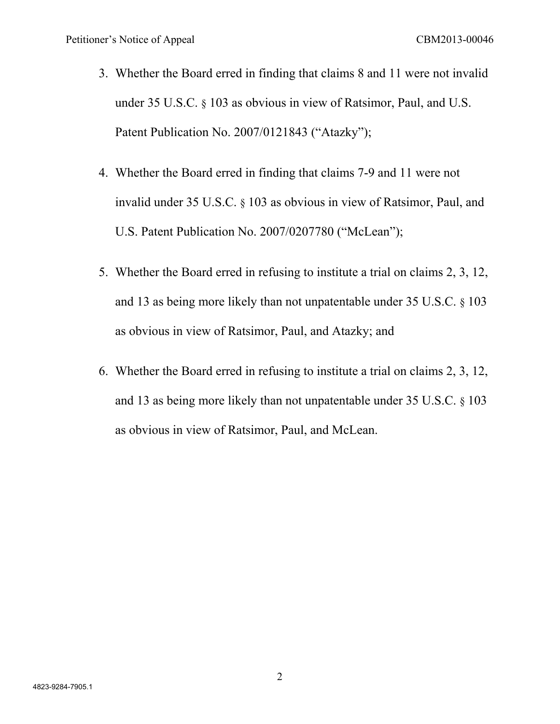- 3. Whether the Board erred in finding that claims 8 and 11 were not invalid under 35 U.S.C. § 103 as obvious in view of Ratsimor, Paul, and U.S. Patent Publication No. 2007/0121843 ("Atazky");
- 4. Whether the Board erred in finding that claims 7-9 and 11 were not invalid under 35 U.S.C. § 103 as obvious in view of Ratsimor, Paul, and U.S. Patent Publication No. 2007/0207780 ("McLean");
- 5. Whether the Board erred in refusing to institute a trial on claims 2, 3, 12, and 13 as being more likely than not unpatentable under 35 U.S.C. § 103 as obvious in view of Ratsimor, Paul, and Atazky; and
- 6. Whether the Board erred in refusing to institute a trial on claims 2, 3, 12, and 13 as being more likely than not unpatentable under 35 U.S.C. § 103 as obvious in view of Ratsimor, Paul, and McLean.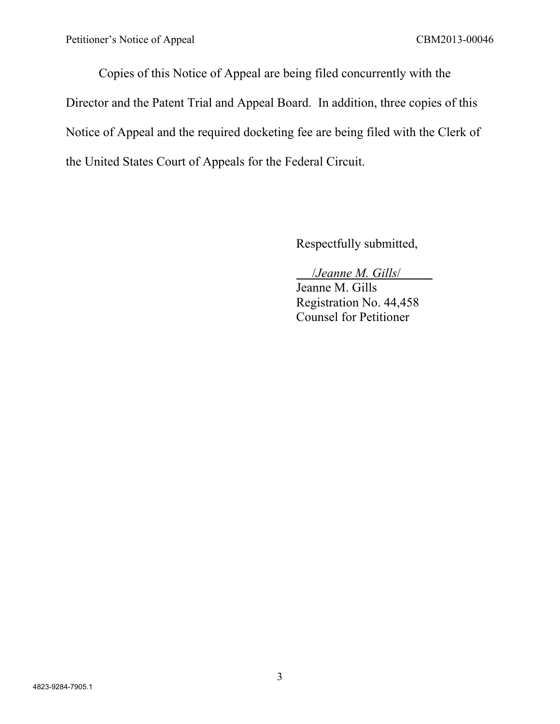Copies of this Notice of Appeal are being filed concurrently with the Director and the Patent Trial and Appeal Board. In addition, three copies of this Notice of Appeal and the required docketing fee are being filed with the Clerk of the United States Court of Appeals for the Federal Circuit.

Respectfully submitted,

### /*Jeanne M. Gills*/

Jeanne M. Gills Registration No. 44,458 Counsel for Petitioner